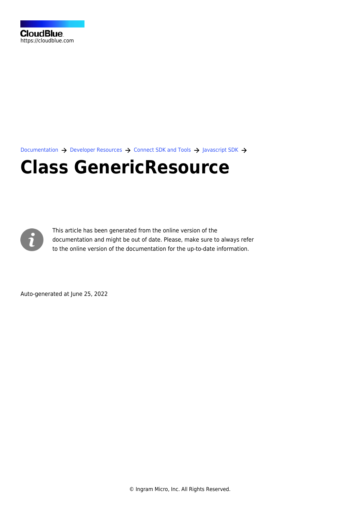[Documentation](https://connect.cloudblue.com/documentation)  $\rightarrow$  [Developer Resources](https://connect.cloudblue.com/community/developers/)  $\rightarrow$  [Connect SDK and Tools](https://connect.cloudblue.com/community/developers/sdk/)  $\rightarrow$  [Javascript SDK](https://connect.cloudblue.com/community/developers/sdk/javascript-sdk/)  $\rightarrow$ 

# **[Class GenericResource](https://connect.cloudblue.com/community/developers/sdk/javascript-sdk/class-genericresource/)**



This article has been generated from the online version of the documentation and might be out of date. Please, make sure to always refer to the online version of the documentation for the up-to-date information.

Auto-generated at June 25, 2022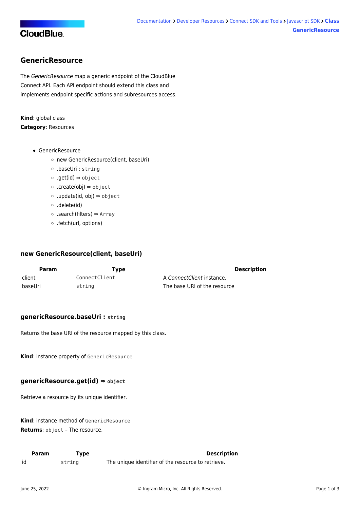## <span id="page-1-0"></span>**GenericResource**

The GenericResource map a generic endpoint of the CloudBlue Connect API. Each API endpoint should extend this class and implements endpoint specific actions and subresources access.

**Kind**: global class **Category**: Resources

- [GenericResource](#page-1-0)
	- [new GenericResource\(client, baseUri\)](#page-1-1)
	- [.baseUri](#page-1-2) : string
	- [.get\(id\)](#page-1-3) ⇒ object
	- [.create\(obj\)](#page-1-4) ⇒ object
	- [.update\(id, obj\)](#page-2-0) ⇒ object
	- [.delete\(id\)](#page-2-1)
	- [.search\(filters\)](#page-2-2) ⇒ Array
	- [.fetch\(url, options\)](#page-3-0)

#### <span id="page-1-1"></span>**new GenericResource(client, baseUri)**

| <b>Param</b> | Tvpe          | <b>Description</b>           |  |
|--------------|---------------|------------------------------|--|
| client       | ConnectClient | A ConnectClient instance.    |  |
| baseUri      | string        | The base URI of the resource |  |

#### <span id="page-1-2"></span>**genericResource.baseUri : string**

Returns the base URI of the resource mapped by this class.

<span id="page-1-3"></span>**Kind**: instance property of [GenericResource](#page-1-0)

## **genericResource.get(id) ⇒ object**

Retrieve a resource by its unique identifier.

**Kind**: instance method of [GenericResource](#page-1-0) **Returns**: object – The resource.

<span id="page-1-4"></span>

| Param | Type   | <b>Description</b>                                 |
|-------|--------|----------------------------------------------------|
| id    | string | The unique identifier of the resource to retrieve. |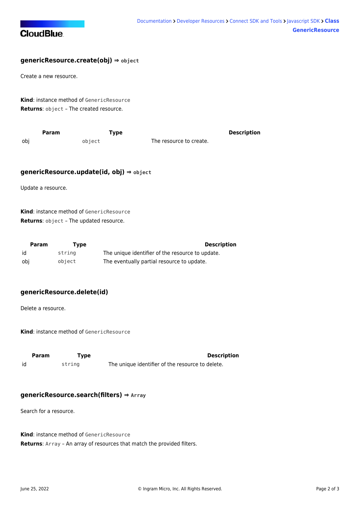

## **genericResource.create(obj) ⇒ object**

Create a new resource.

**Kind**: instance method of [GenericResource](#page-1-0) **Returns**: object – The created resource.

<span id="page-2-0"></span>

| Param | Tvpe   |                         | <b>Description</b> |
|-------|--------|-------------------------|--------------------|
| obj   | obiect | The resource to create. |                    |

#### **genericResource.update(id, obj) ⇒ object**

Update a resource.

**Kind**: instance method of [GenericResource](#page-1-0) **Returns**: object – The updated resource.

| Param | Tvpe   | <b>Description</b>                               |
|-------|--------|--------------------------------------------------|
| id    | string | The unique identifier of the resource to update. |
| obi   | obiect | The eventually partial resource to update.       |

## <span id="page-2-1"></span>**genericResource.delete(id)**

Delete a resource.

**Kind**: instance method of [GenericResource](#page-1-0)

<span id="page-2-2"></span>

| Param | Type   | <b>Description</b>                               |
|-------|--------|--------------------------------------------------|
| id    | string | The unique identifier of the resource to delete. |

#### **genericResource.search(filters) ⇒ Array**

Search for a resource.

**Kind**: instance method of [GenericResource](#page-1-0) **Returns**: Array – An array of resources that match the provided filters.